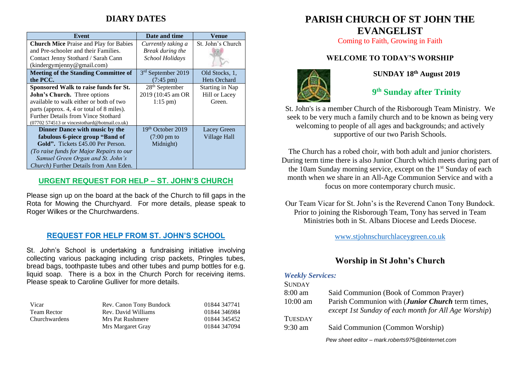# **DIARY DATES**

| Event                                         | Date and time              | Venue               |
|-----------------------------------------------|----------------------------|---------------------|
| <b>Church Mice</b> Praise and Play for Babies | Currently taking a         | St. John's Church   |
| and Pre-schooler and their Families.          | Break during the           |                     |
| Contact Jenny Stothard / Sarah Cann           | School Holidays            |                     |
| (kindergymjenny@gmail.com)                    |                            |                     |
| <b>Meeting of the Standing Committee of</b>   | 3rd September 2019         | Old Stocks, 1,      |
| the PCC.                                      | $(7:45 \text{ pm})$        | <b>Hets Orchard</b> |
| Sponsored Walk to raise funds for St.         | 28 <sup>th</sup> September | Starting in Nap     |
| John's Church. Three options                  | 2019 (10:45 am OR          | Hill or Lacey       |
| available to walk either or both of two       | $1:15 \text{ pm}$          | Green.              |
| parts (approx. 4, 4 or total of 8 miles).     |                            |                     |
| <b>Further Details from Vince Stothard</b>    |                            |                     |
| (07702 574513 or vincestothard@hotmail.co.uk) |                            |                     |
| Dinner Dance with music by the                | $19th$ October 2019        | Lacey Green         |
| fabulous 6-piece group "Band of               | $(7:00 \text{ pm to})$     | <b>Village Hall</b> |
| <b>Gold".</b> Tickets £45.00 Per Person.      | Midnight)                  |                     |
| (To raise funds for Major Repairs to our      |                            |                     |
| Samuel Green Organ and St. John's             |                            |                     |
| Church) Further Details from Ann Eden.        |                            |                     |

#### **URGENT REQUEST FOR HELP – ST. JOHN'S CHURCH**

Please sign up on the board at the back of the Church to fill gaps in the Rota for Mowing the Churchyard. For more details, please speak to Roger Wilkes or the Churchwardens.

#### **REQUEST FOR HELP FROM ST. JOHN'S SCHOOL**

St. John's School is undertaking a fundraising initiative involving collecting various packaging including crisp packets, Pringles tubes, bread bags, toothpaste tubes and other tubes and pump bottles for e.g. liquid soap. There is a box in the Church Porch for receiving items. Please speak to Caroline Gulliver for more details.

| Vicar         | Rev. Canon Tony Bundock | 01844 347741 |
|---------------|-------------------------|--------------|
| Team Rector   | Rev. David Williams     | 01844 346984 |
| Churchwardens | Mrs Pat Rushmere        | 01844 345452 |
|               | Mrs Margaret Gray       | 01844 347094 |

# **PARISH CHURCH OF ST JOHN THE EVANGELIST**

Coming to Faith, Growing in Faith

#### **WELCOME TO TODAY'S WORSHIP**



#### **SUNDAY 18 th August 2019**

# **9 th Sunday after Trinity**

St. John's is a member Church of the Risborough Team Ministry. We seek to be very much a family church and to be known as being very welcoming to people of all ages and backgrounds; and actively supportive of our two Parish Schools.

The Church has a robed choir, with both adult and junior choristers. During term time there is also Junior Church which meets during part of the 10am Sunday morning service, except on the 1st Sunday of each month when we share in an All-Age Communion Service and with a focus on more contemporary church music.

Our Team Vicar for St. John's is the Reverend Canon Tony Bundock. Prior to joining the Risborough Team, Tony has served in Team Ministries both in St. Albans Diocese and Leeds Diocese.

[www.stjohnschurchlaceygreen.co.uk](http://www.stjohnschurchlaceygreen.co.uk/)

## **Worship in St John's Church**

#### *Weekly Services:*

| <b>SUNDAY</b>  |                                                          |
|----------------|----------------------------------------------------------|
| $8:00$ am      | Said Communion (Book of Common Prayer)                   |
| $10:00$ am     | Parish Communion with ( <i>Junior Church</i> term times, |
|                | except 1st Sunday of each month for All Age Worship)     |
| <b>TUESDAY</b> |                                                          |
| $9:30$ am      | Said Communion (Common Worship)                          |
|                | Pew sheet editor - mark.roberts975@btinternet.com        |